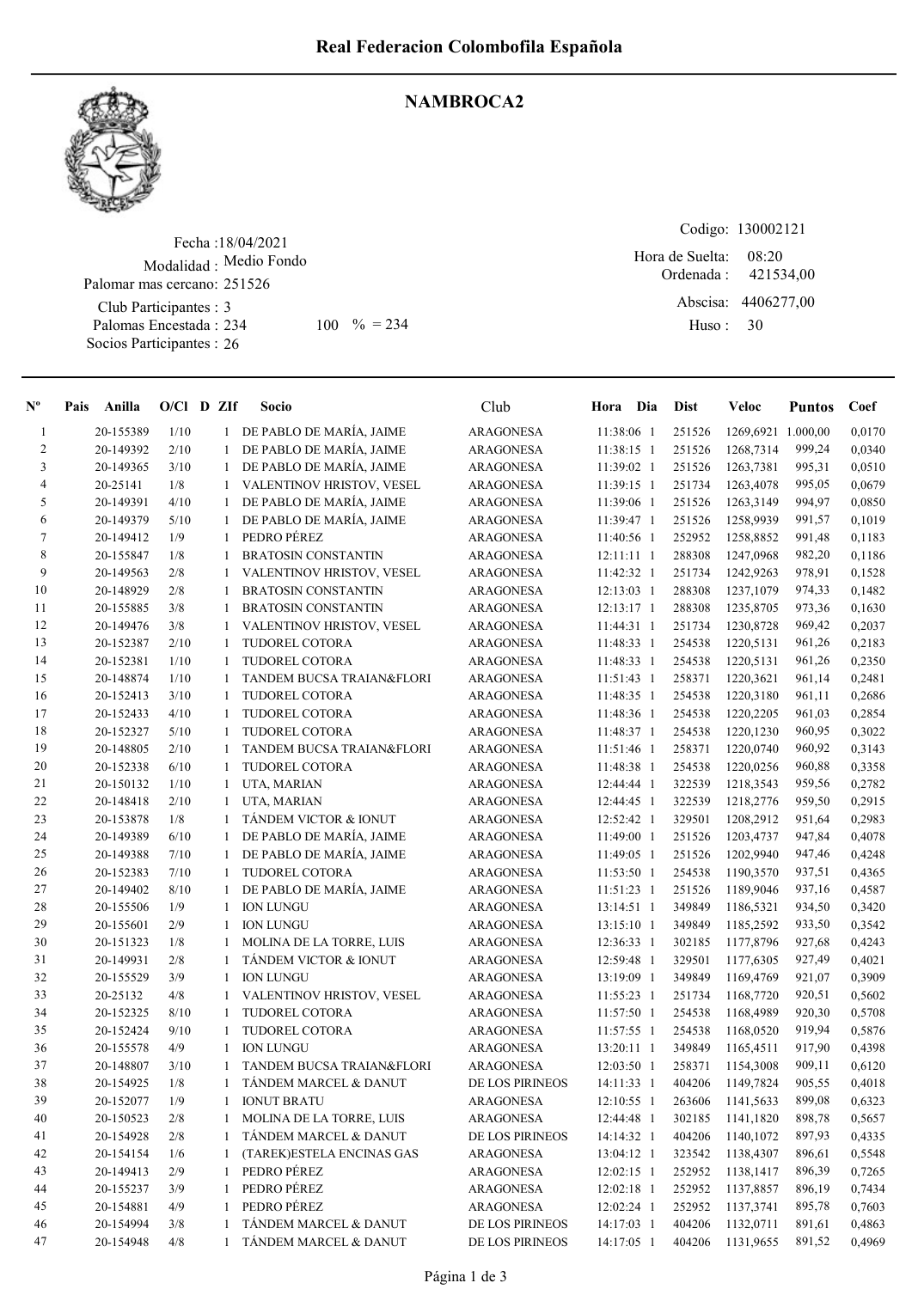

## NAMBROCA2

Fecha : 18/04/2021 Modalidad : Medio Fondo Club Participantes : 3 Palomas Encestada : Socios Participantes : 26 Palomar mas cercano: 251526 234 100 % = 234 Huso: 30

Codigo: 130002121 Ordenada : Abscisa: 4406277,00 Huso : 08:20 Hora de Suelta: 421534,00

| $\mathbf{N}^{\mathbf{o}}$ | Anilla<br>Pais | O/Cl D ZIf |              | Socio                      | Club             | Hora Dia     | <b>Dist</b> | Veloc              | <b>Puntos</b> | Coef   |
|---------------------------|----------------|------------|--------------|----------------------------|------------------|--------------|-------------|--------------------|---------------|--------|
| $\mathbf{1}$              | 20-155389      | 1/10       |              | 1 DE PABLO DE MARÍA, JAIME | <b>ARAGONESA</b> | 11:38:06 1   | 251526      | 1269,6921 1.000,00 |               | 0,0170 |
| 2                         | 20-149392      | 2/10       | $\mathbf{1}$ | DE PABLO DE MARÍA, JAIME   | <b>ARAGONESA</b> | 11:38:15 1   | 251526      | 1268,7314          | 999,24        | 0,0340 |
| 3                         | 20-149365      | 3/10       | $\mathbf{1}$ | DE PABLO DE MARÍA, JAIME   | <b>ARAGONESA</b> | 11:39:02 1   | 251526      | 1263,7381          | 995,31        | 0,0510 |
| 4                         | 20-25141       | $1/8$      |              | VALENTINOV HRISTOV, VESEL  | <b>ARAGONESA</b> | 11:39:15 1   | 251734      | 1263,4078          | 995,05        | 0,0679 |
| 5                         | 20-149391      | 4/10       | $\mathbf{1}$ | DE PABLO DE MARÍA, JAIME   | <b>ARAGONESA</b> | 11:39:06 1   | 251526      | 1263,3149          | 994,97        | 0,0850 |
| 6                         | 20-149379      | 5/10       | $\mathbf{1}$ | DE PABLO DE MARÍA, JAIME   | <b>ARAGONESA</b> | 11:39:47 1   | 251526      | 1258,9939          | 991,57        | 0,1019 |
| 7                         | 20-149412      | 1/9        | $\mathbf{1}$ | PEDRO PÉREZ                | <b>ARAGONESA</b> | 11:40:56 1   | 252952      | 1258,8852          | 991,48        | 0,1183 |
| 8                         | 20-155847      | 1/8        | 1            | <b>BRATOSIN CONSTANTIN</b> | <b>ARAGONESA</b> | $12:11:11$ 1 | 288308      | 1247,0968          | 982,20        | 0,1186 |
| 9                         | 20-149563      | 2/8        | $\mathbf{1}$ | VALENTINOV HRISTOV, VESEL  | <b>ARAGONESA</b> | 11:42:32 1   | 251734      | 1242,9263          | 978,91        | 0,1528 |
| 10                        | 20-148929      | 2/8        | 1            | <b>BRATOSIN CONSTANTIN</b> | <b>ARAGONESA</b> | 12:13:03 1   | 288308      | 1237,1079          | 974,33        | 0,1482 |
| 11                        | 20-155885      | 3/8        | 1            | <b>BRATOSIN CONSTANTIN</b> | <b>ARAGONESA</b> | 12:13:17 1   | 288308      | 1235,8705          | 973,36        | 0,1630 |
| 12                        | 20-149476      | 3/8        | $\mathbf{1}$ | VALENTINOV HRISTOV, VESEL  | <b>ARAGONESA</b> | 11:44:31 1   | 251734      | 1230,8728          | 969,42        | 0,2037 |
| 13                        | 20-152387      | 2/10       | 1            | TUDOREL COTORA             | ARAGONESA        | 11:48:33 1   | 254538      | 1220,5131          | 961,26        | 0,2183 |
| 14                        | 20-152381      | 1/10       | 1            | TUDOREL COTORA             | <b>ARAGONESA</b> | 11:48:33 1   | 254538      | 1220,5131          | 961,26        | 0,2350 |
| 15                        | 20-148874      | 1/10       | 1            | TANDEM BUCSA TRAIAN&FLORI  | <b>ARAGONESA</b> | 11:51:43 1   | 258371      | 1220,3621          | 961,14        | 0,2481 |
| 16                        | 20-152413      | 3/10       | $\mathbf{1}$ | TUDOREL COTORA             | ARAGONESA        | 11:48:35 1   | 254538      | 1220,3180          | 961,11        | 0,2686 |
| 17                        | 20-152433      | 4/10       | $\mathbf{1}$ | TUDOREL COTORA             | ARAGONESA        | 11:48:36 1   | 254538      | 1220,2205          | 961,03        | 0,2854 |
| 18                        | 20-152327      | 5/10       | $\mathbf{1}$ | TUDOREL COTORA             | <b>ARAGONESA</b> | 11:48:37 1   | 254538      | 1220,1230          | 960,95        | 0,3022 |
| 19                        | 20-148805      | 2/10       | $\mathbf{1}$ | TANDEM BUCSA TRAIAN&FLORI  | ARAGONESA        | 11:51:46 1   | 258371      | 1220,0740          | 960,92        | 0,3143 |
| 20                        | 20-152338      | 6/10       | 1            | TUDOREL COTORA             | <b>ARAGONESA</b> | 11:48:38 1   | 254538      | 1220,0256          | 960,88        | 0,3358 |
| 21                        | 20-150132      | 1/10       | $\mathbf{1}$ | UTA, MARIAN                | <b>ARAGONESA</b> | 12:44:44 1   | 322539      | 1218,3543          | 959,56        | 0,2782 |
| 22                        | 20-148418      | 2/10       | $\mathbf{1}$ | UTA, MARIAN                | <b>ARAGONESA</b> | 12:44:45 1   | 322539      | 1218,2776          | 959,50        | 0,2915 |
| 23                        | 20-153878      | 1/8        | $\mathbf{1}$ | TÁNDEM VICTOR & IONUT      | <b>ARAGONESA</b> | 12:52:42 1   | 329501      | 1208,2912          | 951,64        | 0,2983 |
| 24                        | 20-149389      | 6/10       |              | DE PABLO DE MARÍA, JAIME   | <b>ARAGONESA</b> | 11:49:00 1   | 251526      | 1203,4737          | 947,84        | 0,4078 |
| 25                        | 20-149388      | 7/10       | $\mathbf{1}$ | DE PABLO DE MARÍA, JAIME   | ARAGONESA        | 11:49:05 1   | 251526      | 1202,9940          | 947,46        | 0,4248 |
| 26                        | 20-152383      | 7/10       | $\mathbf{1}$ | TUDOREL COTORA             | <b>ARAGONESA</b> | 11:53:50 1   | 254538      | 1190,3570          | 937,51        | 0,4365 |
| 27                        | 20-149402      | 8/10       | $\mathbf{1}$ | DE PABLO DE MARÍA, JAIME   | <b>ARAGONESA</b> | 11:51:23 1   | 251526      | 1189,9046          | 937,16        | 0,4587 |
| 28                        | 20-155506      | 1/9        | $\mathbf{1}$ | <b>ION LUNGU</b>           | <b>ARAGONESA</b> | 13:14:51 1   | 349849      | 1186,5321          | 934,50        | 0,3420 |
| 29                        | 20-155601      | 2/9        | $\mathbf{1}$ | <b>ION LUNGU</b>           | <b>ARAGONESA</b> | 13:15:10 1   | 349849      | 1185,2592          | 933,50        | 0,3542 |
| 30                        | 20-151323      | 1/8        | $\mathbf{1}$ | MOLINA DE LA TORRE, LUIS   | <b>ARAGONESA</b> | 12:36:33 1   | 302185      | 1177,8796          | 927,68        | 0,4243 |
| 31                        | 20-149931      | 2/8        | $\mathbf{1}$ | TÁNDEM VICTOR & IONUT      | <b>ARAGONESA</b> | 12:59:48 1   | 329501      | 1177,6305          | 927,49        | 0,4021 |
| 32                        | 20-155529      | 3/9        | $\mathbf{1}$ | <b>ION LUNGU</b>           | <b>ARAGONESA</b> | 13:19:09 1   | 349849      | 1169,4769          | 921,07        | 0,3909 |
| 33                        | 20-25132       | 4/8        | $\mathbf{1}$ | VALENTINOV HRISTOV, VESEL  | <b>ARAGONESA</b> | 11:55:23 1   | 251734      | 1168,7720          | 920,51        | 0,5602 |
| 34                        | 20-152325      | 8/10       | $\mathbf{1}$ | TUDOREL COTORA             | <b>ARAGONESA</b> | 11:57:50 1   | 254538      | 1168,4989          | 920,30        | 0,5708 |
| 35                        | 20-152424      | 9/10       | 1            | TUDOREL COTORA             | ARAGONESA        | 11:57:55 1   | 254538      | 1168,0520          | 919,94        | 0,5876 |
| 36                        | 20-155578      | 4/9        | $\mathbf{1}$ | <b>ION LUNGU</b>           | <b>ARAGONESA</b> | 13:20:11 1   | 349849      | 1165,4511          | 917,90        | 0,4398 |
| 37                        | 20-148807      | 3/10       | 1            | TANDEM BUCSA TRAIAN&FLORI  | ARAGONESA        | 12:03:50 1   | 258371      | 1154,3008          | 909,11        | 0,6120 |
| 38                        | 20-154925      | 1/8        | $\mathbf{1}$ | TÁNDEM MARCEL & DANUT      | DE LOS PIRINEOS  | 14:11:33 1   | 404206      | 1149,7824          | 905,55        | 0,4018 |
| 39                        | 20-152077      | 1/9        | $\mathbf{1}$ | <b>IONUT BRATU</b>         | ARAGONESA        | 12:10:55 1   | 263606      | 1141,5633          | 899,08        | 0,6323 |
| 40                        | 20-150523      | 2/8        | $\mathbf{1}$ | MOLINA DE LA TORRE, LUIS   | <b>ARAGONESA</b> | 12:44:48 1   | 302185      | 1141,1820          | 898,78        | 0,5657 |
| 41                        | 20-154928      | 2/8        | $\mathbf{1}$ | TÁNDEM MARCEL & DANUT      | DE LOS PIRINEOS  | 14:14:32 1   | 404206      | 1140,1072          | 897,93        | 0,4335 |
| 42                        | 20-154154      | 1/6        | 1            | (TAREK)ESTELA ENCINAS GAS  | ARAGONESA        | 13:04:12 1   | 323542      | 1138,4307          | 896,61        | 0,5548 |
| 43                        | 20-149413      | 2/9        | $\mathbf{1}$ | PEDRO PÉREZ                | ARAGONESA        | $12:02:15$ 1 | 252952      | 1138,1417          | 896,39        | 0,7265 |
| 44                        | 20-155237      | 3/9        | $\mathbf{1}$ | PEDRO PÉREZ                | ARAGONESA        | 12:02:18 1   | 252952      | 1137,8857          | 896,19        | 0,7434 |
| 45                        | 20-154881      | 4/9        | $\mathbf{1}$ | PEDRO PÉREZ                | ARAGONESA        | 12:02:24 1   | 252952      | 1137,3741          | 895,78        | 0,7603 |
|                           |                |            |              |                            |                  |              |             |                    |               |        |

46 20-154994 3/8 1 TÁNDEM MARCEL & DANUT DE LOS PIRINEOS 14:17:03 1 404206 1132,0711 891,61 0,4863 47 20-154948 4/8 1 TÁNDEM MARCEL & DANUT DE LOS PIRINEOS 14:17:05 1 404206 1131,9655 891,52 0,4969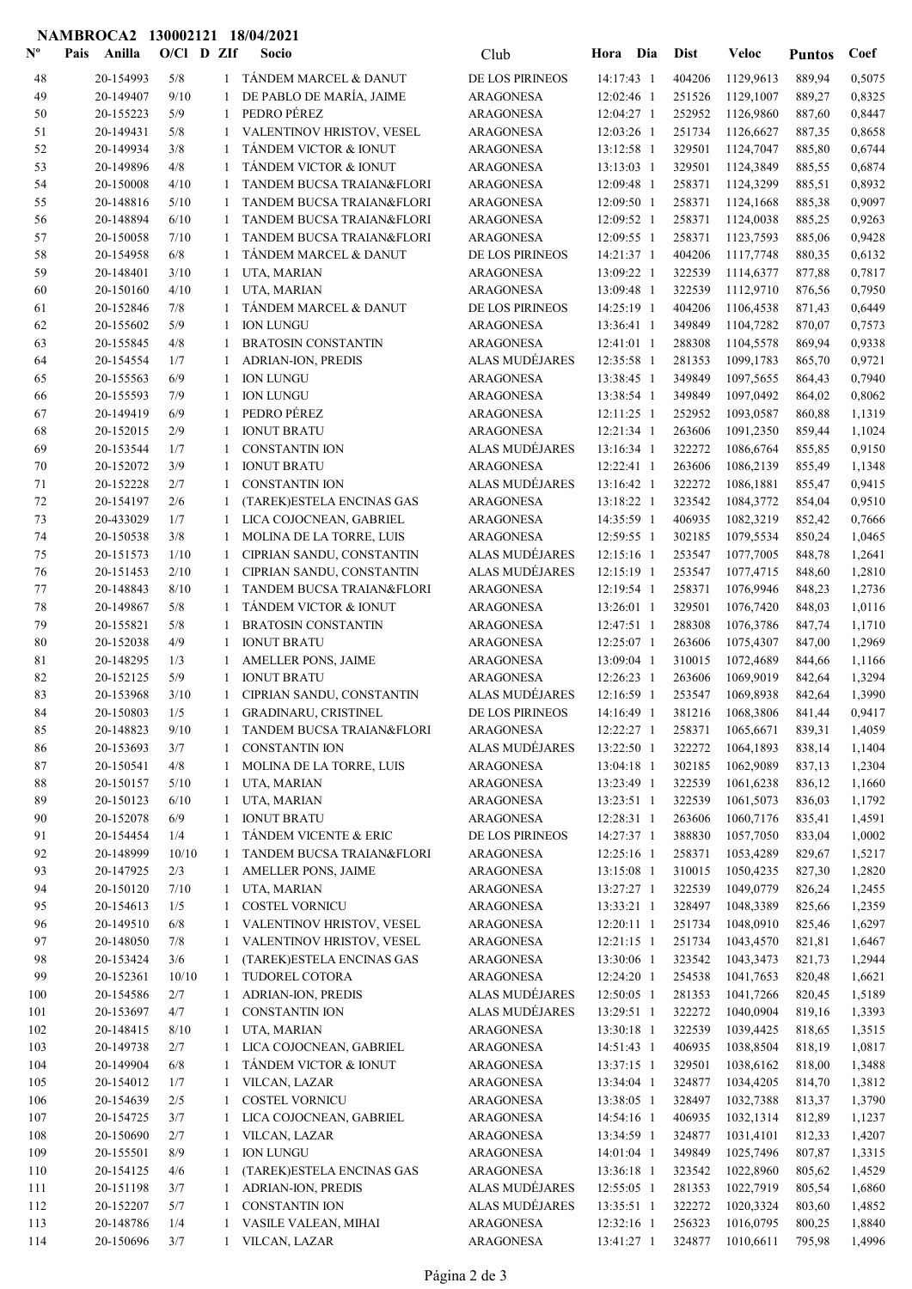## NAMBROCA2 130002121 18/04/2021

| $\mathbf{N}^{\mathbf{o}}$ | Anilla<br>Pais         | $O/C1$ D ZIf |                   | Socio                                                  | Club                                      | Hora                     | Dia        | <b>Dist</b>      | Veloc                  | <b>Puntos</b>    | Coef             |
|---------------------------|------------------------|--------------|-------------------|--------------------------------------------------------|-------------------------------------------|--------------------------|------------|------------------|------------------------|------------------|------------------|
| 48                        | 20-154993              | 5/8          | $\mathbf{1}$      | TANDEM MARCEL & DANUT                                  | DE LOS PIRINEOS                           | 14:17:43 1               |            | 404206           | 1129,9613              | 889,94           | 0,5075           |
| 49                        | 20-149407              | 9/10         | 1                 | DE PABLO DE MARÍA, JAIME                               | ARAGONESA                                 | 12:02:46 1               |            | 251526           | 1129,1007              | 889,27           | 0,8325           |
| 50                        | 20-155223              | 5/9          | $\mathbf{1}$      | PEDRO PÉREZ                                            | <b>ARAGONESA</b>                          | 12:04:27 1               |            | 252952           | 1126,9860              | 887,60           | 0,8447           |
| 51                        | 20-149431              | 5/8          | 1                 | VALENTINOV HRISTOV, VESEL                              | <b>ARAGONESA</b>                          | 12:03:26 1               |            | 251734           | 1126,6627              | 887,35           | 0,8658           |
| 52                        | 20-149934              | 3/8          | -1                | TÁNDEM VICTOR & IONUT                                  | <b>ARAGONESA</b>                          | 13:12:58 1               |            | 329501           | 1124,7047              | 885,80           | 0,6744           |
| 53                        | 20-149896              | 4/8          | $\mathbf{1}$      | TÁNDEM VICTOR & IONUT                                  | <b>ARAGONESA</b>                          | 13:13:03 1               |            | 329501           | 1124,3849              | 885,55           | 0,6874           |
| 54                        | 20-150008              | 4/10         | 1                 | TANDEM BUCSA TRAIAN&FLORI                              | ARAGONESA                                 | 12:09:48 1               |            | 258371           | 1124,3299              | 885,51           | 0,8932           |
| 55                        | 20-148816              | 5/10         | 1                 | <b>TANDEM BUCSA TRAIAN&amp;FLORI</b>                   | ARAGONESA                                 | 12:09:50 1               |            | 258371           | 1124,1668              | 885,38           | 0,9097           |
| 56<br>57                  | 20-148894<br>20-150058 | 6/10<br>7/10 | 1                 | TANDEM BUCSA TRAIAN&FLORI<br>TANDEM BUCSA TRAIAN&FLORI | ARAGONESA<br><b>ARAGONESA</b>             | 12:09:52 1<br>12:09:55 1 |            | 258371<br>258371 | 1124,0038<br>1123,7593 | 885,25<br>885,06 | 0,9263<br>0,9428 |
| 58                        | 20-154958              | 6/8          | 1                 | TÁNDEM MARCEL & DANUT                                  | DE LOS PIRINEOS                           | 14:21:37 1               |            | 404206           | 1117,7748              | 880,35           | 0,6132           |
| 59                        | 20-148401              | 3/10         | 1                 | UTA, MARIAN                                            | <b>ARAGONESA</b>                          | 13:09:22 1               |            | 322539           | 1114,6377              | 877,88           | 0,7817           |
| 60                        | 20-150160              | 4/10         | 1                 | UTA, MARIAN                                            | ARAGONESA                                 | 13:09:48 1               |            | 322539           | 1112,9710              | 876,56           | 0,7950           |
| 61                        | 20-152846              | 7/8          | 1                 | TÁNDEM MARCEL & DANUT                                  | DE LOS PIRINEOS                           | 14:25:19 1               |            | 404206           | 1106,4538              | 871,43           | 0,6449           |
| 62                        | 20-155602              | 5/9          | 1                 | <b>ION LUNGU</b>                                       | <b>ARAGONESA</b>                          | 13:36:41 1               |            | 349849           | 1104,7282              | 870,07           | 0,7573           |
| 63                        | 20-155845              | 4/8          | 1                 | <b>BRATOSIN CONSTANTIN</b>                             | <b>ARAGONESA</b>                          | 12:41:01 1               |            | 288308           | 1104,5578              | 869,94           | 0,9338           |
| 64                        | 20-154554              | 1/7          | 1                 | ADRIAN-ION, PREDIS                                     | ALAS MUDÉJARES                            | 12:35:58 1               |            | 281353           | 1099,1783              | 865,70           | 0,9721           |
| 65                        | 20-155563              | 6/9          | 1                 | <b>ION LUNGU</b>                                       | <b>ARAGONESA</b>                          | 13:38:45 1               |            | 349849           | 1097,5655              | 864,43           | 0,7940           |
| 66                        | 20-155593              | 7/9          | 1                 | <b>ION LUNGU</b>                                       | <b>ARAGONESA</b>                          | 13:38:54 1               |            | 349849           | 1097,0492              | 864,02           | 0,8062           |
| 67                        | 20-149419              | 6/9          | 1                 | PEDRO PÉREZ                                            | ARAGONESA                                 | 12:11:25 1               |            | 252952           | 1093,0587              | 860,88           | 1,1319           |
| 68                        | 20-152015              | 2/9          | 1                 | <b>IONUT BRATU</b>                                     | <b>ARAGONESA</b>                          | 12:21:34 1               |            | 263606           | 1091,2350              | 859,44           | 1,1024           |
| 69                        | 20-153544              | 1/7          | 1                 | <b>CONSTANTIN ION</b>                                  | ALAS MUDÉJARES                            | 13:16:34 1               |            | 322272           | 1086,6764              | 855,85           | 0,9150           |
| 70                        | 20-152072              | 3/9          | 1                 | <b>IONUT BRATU</b>                                     | <b>ARAGONESA</b>                          | 12:22:41 1               |            | 263606           | 1086,2139              | 855,49           | 1,1348           |
| 71<br>72                  | 20-152228<br>20-154197 | 2/7<br>2/6   | 1<br>1            | <b>CONSTANTIN ION</b><br>(TAREK)ESTELA ENCINAS GAS     | <b>ALAS MUDÉJARES</b><br><b>ARAGONESA</b> | 13:16:42 1<br>13:18:22 1 |            | 322272<br>323542 | 1086,1881<br>1084,3772 | 855,47<br>854,04 | 0,9415<br>0,9510 |
| 73                        | 20-433029              | 1/7          | 1                 | LICA COJOCNEAN, GABRIEL                                | ARAGONESA                                 | 14:35:59 1               |            | 406935           | 1082,3219              | 852,42           | 0,7666           |
| 74                        | 20-150538              | 3/8          | 1                 | MOLINA DE LA TORRE, LUIS                               | <b>ARAGONESA</b>                          | 12:59:55 1               |            | 302185           | 1079,5534              | 850,24           | 1,0465           |
| 75                        | 20-151573              | 1/10         | 1                 | CIPRIAN SANDU, CONSTANTIN                              | ALAS MUDÉJARES                            | 12:15:16 1               |            | 253547           | 1077,7005              | 848,78           | 1,2641           |
| 76                        | 20-151453              | 2/10         | 1                 | CIPRIAN SANDU, CONSTANTIN                              | ALAS MUDÉJARES                            | 12:15:19 1               |            | 253547           | 1077,4715              | 848,60           | 1,2810           |
| 77                        | 20-148843              | 8/10         | 1                 | TANDEM BUCSA TRAIAN&FLORI                              | <b>ARAGONESA</b>                          | 12:19:54 1               |            | 258371           | 1076,9946              | 848,23           | 1,2736           |
| 78                        | 20-149867              | 5/8          | $\mathbf{1}$      | TANDEM VICTOR & IONUT                                  | <b>ARAGONESA</b>                          | 13:26:01 1               |            | 329501           | 1076,7420              | 848,03           | 1,0116           |
| 79                        | 20-155821              | 5/8          | 1                 | <b>BRATOSIN CONSTANTIN</b>                             | ARAGONESA                                 | 12:47:51 1               |            | 288308           | 1076,3786              | 847,74           | 1,1710           |
| 80                        | 20-152038              | 4/9          |                   | <b>IONUT BRATU</b>                                     | ARAGONESA                                 | 12:25:07 1               |            | 263606           | 1075,4307              | 847,00           | 1,2969           |
| 81                        | 20-148295              | 1/3          | 1                 | AMELLER PONS, JAIME                                    | <b>ARAGONESA</b>                          | 13:09:04 1               |            | 310015           | 1072,4689              | 844,66           | 1,1166           |
| 82                        | 20-152125              | 5/9          | 1                 | <b>IONUT BRATU</b>                                     | <b>ARAGONESA</b>                          | 12:26:23 1               |            | 263606           | 1069,9019              | 842,64           | 1,3294           |
| 83                        | 20-153968              | 3/10         | $\mathbf{1}$      | CIPRIAN SANDU, CONSTANTIN                              | ALAS MUDÉJARES                            | 12:16:59 1               |            | 253547           | 1069,8938              | 842,64           | 1,3990           |
| 84                        | 20-150803              | 1/5          | $\mathbf{1}$      | <b>GRADINARU, CRISTINEL</b>                            | DE LOS PIRINEOS                           | 14:16:49 1               |            | 381216           | 1068,3806              | 841,44           | 0,9417           |
| 85                        | 20-148823              | $9/10$       | 1                 | TANDEM BUCSA TRAIAN&FLORI                              | <b>ARAGONESA</b>                          |                          | 12:22:27 1 | 258371           | 1065,6671              | 839,31           | 1,4059           |
| 86<br>87                  | 20-153693<br>20-150541 | 3/7<br>4/8   | 1                 | CONSTANTIN ION<br>MOLINA DE LA TORRE, LUIS             | <b>ALAS MUDÉJARES</b><br><b>ARAGONESA</b> | 13:22:50 1<br>13:04:18 1 |            | 322272<br>302185 | 1064,1893<br>1062,9089 | 838,14<br>837,13 | 1,1404           |
| 88                        | 20-150157              | 5/10         | -1<br>1           | UTA, MARIAN                                            | ARAGONESA                                 | 13:23:49 1               |            | 322539           | 1061,6238              | 836,12           | 1,2304<br>1,1660 |
| 89                        | 20-150123              | 6/10         | 1                 | UTA, MARIAN                                            | <b>ARAGONESA</b>                          | 13:23:51 1               |            | 322539           | 1061,5073              | 836,03           | 1,1792           |
| 90                        | 20-152078              | 6/9          | 1                 | <b>IONUT BRATU</b>                                     | <b>ARAGONESA</b>                          | 12:28:31 1               |            | 263606           | 1060,7176              | 835,41           | 1,4591           |
| 91                        | 20-154454              | 1/4          | 1                 | TÁNDEM VICENTE & ERIC                                  | DE LOS PIRINEOS                           | 14:27:37 1               |            | 388830           | 1057,7050              | 833,04           | 1,0002           |
| 92                        | 20-148999              | 10/10        | 1                 | TANDEM BUCSA TRAIAN&FLORI                              | <b>ARAGONESA</b>                          | 12:25:16 1               |            | 258371           | 1053,4289              | 829,67           | 1,5217           |
| 93                        | 20-147925              | 2/3          | 1                 | AMELLER PONS, JAIME                                    | <b>ARAGONESA</b>                          | 13:15:08 1               |            | 310015           | 1050,4235              | 827,30           | 1,2820           |
| 94                        | 20-150120              | 7/10         | 1                 | UTA, MARIAN                                            | <b>ARAGONESA</b>                          | 13:27:27 1               |            | 322539           | 1049,0779              | 826,24           | 1,2455           |
| 95                        | 20-154613              | 1/5          | 1                 | <b>COSTEL VORNICU</b>                                  | ARAGONESA                                 | 13:33:21 1               |            | 328497           | 1048,3389              | 825,66           | 1,2359           |
| 96                        | 20-149510              | 6/8          | 1                 | VALENTINOV HRISTOV, VESEL                              | ARAGONESA                                 | 12:20:11 1               |            | 251734           | 1048,0910              | 825,46           | 1,6297           |
| 97                        | 20-148050              | 7/8          | 1                 | VALENTINOV HRISTOV, VESEL                              | ARAGONESA                                 | $12:21:15$ 1             |            | 251734           | 1043,4570              | 821,81           | 1,6467           |
| 98                        | 20-153424              | 3/6          | 1                 | (TAREK)ESTELA ENCINAS GAS                              | ARAGONESA                                 | 13:30:06 1               |            | 323542           | 1043,3473              | 821,73           | 1,2944           |
| 99                        | 20-152361              | 10/10        | 1                 | TUDOREL COTORA                                         | <b>ARAGONESA</b>                          | 12:24:20 1               |            | 254538           | 1041,7653              | 820,48           | 1,6621           |
| 100                       | 20-154586              | 2/7          | 1                 | ADRIAN-ION, PREDIS                                     | ALAS MUDÉJARES                            | 12:50:05 1               |            | 281353           | 1041,7266              | 820,45           | 1,5189           |
| 101                       | 20-153697<br>20-148415 | 4/7<br>8/10  | 1                 | <b>CONSTANTIN ION</b><br>UTA, MARIAN                   | ALAS MUDÉJARES<br><b>ARAGONESA</b>        | 13:29:51 1<br>13:30:18 1 |            | 322272<br>322539 | 1040,0904<br>1039,4425 | 819,16           | 1,3393           |
| 102<br>103                | 20-149738              | 2/7          | 1<br>$\mathbf{1}$ | LICA COJOCNEAN, GABRIEL                                | ARAGONESA                                 | 14:51:43 1               |            | 406935           | 1038,8504              | 818,65<br>818,19 | 1,3515<br>1,0817 |
| 104                       | 20-149904              | 6/8          | 1                 | TÁNDEM VICTOR & IONUT                                  | ARAGONESA                                 | 13:37:15 1               |            | 329501           | 1038,6162              | 818,00           | 1,3488           |
| 105                       | 20-154012              | 1/7          | 1                 | VILCAN, LAZAR                                          | <b>ARAGONESA</b>                          | 13:34:04 1               |            | 324877           | 1034,4205              | 814,70           | 1,3812           |
| 106                       | 20-154639              | 2/5          | 1                 | <b>COSTEL VORNICU</b>                                  | ARAGONESA                                 | 13:38:05 1               |            | 328497           | 1032,7388              | 813,37           | 1,3790           |
| 107                       | 20-154725              | 3/7          | 1                 | LICA COJOCNEAN, GABRIEL                                | ARAGONESA                                 | 14:54:16 1               |            | 406935           | 1032,1314              | 812,89           | 1,1237           |
| 108                       | 20-150690              | 2/7          | 1                 | VILCAN, LAZAR                                          | ARAGONESA                                 | 13:34:59 1               |            | 324877           | 1031,4101              | 812,33           | 1,4207           |
| 109                       | 20-155501              | 8/9          | 1                 | <b>ION LUNGU</b>                                       | ARAGONESA                                 | $14:01:04$ 1             |            | 349849           | 1025,7496              | 807,87           | 1,3315           |
| 110                       | 20-154125              | 4/6          | 1                 | (TAREK)ESTELA ENCINAS GAS                              | ARAGONESA                                 | 13:36:18 1               |            | 323542           | 1022,8960              | 805,62           | 1,4529           |
| 111                       | 20-151198              | 3/7          | 1                 | ADRIAN-ION, PREDIS                                     | ALAS MUDÉJARES                            | 12:55:05 1               |            | 281353           | 1022,7919              | 805,54           | 1,6860           |
| 112                       | 20-152207              | 5/7          | 1                 | <b>CONSTANTIN ION</b>                                  | ALAS MUDÉJARES                            | 13:35:51 1               |            | 322272           | 1020,3324              | 803,60           | 1,4852           |
| 113                       | 20-148786              | 1/4          | 1                 | VASILE VALEAN, MIHAI                                   | ARAGONESA                                 | 12:32:16 1               |            | 256323           | 1016,0795              | 800,25           | 1,8840           |
| 114                       | 20-150696              | 3/7          |                   | 1 VILCAN, LAZAR                                        | <b>ARAGONESA</b>                          | 13:41:27 1               |            | 324877           | 1010,6611              | 795,98           | 1,4996           |